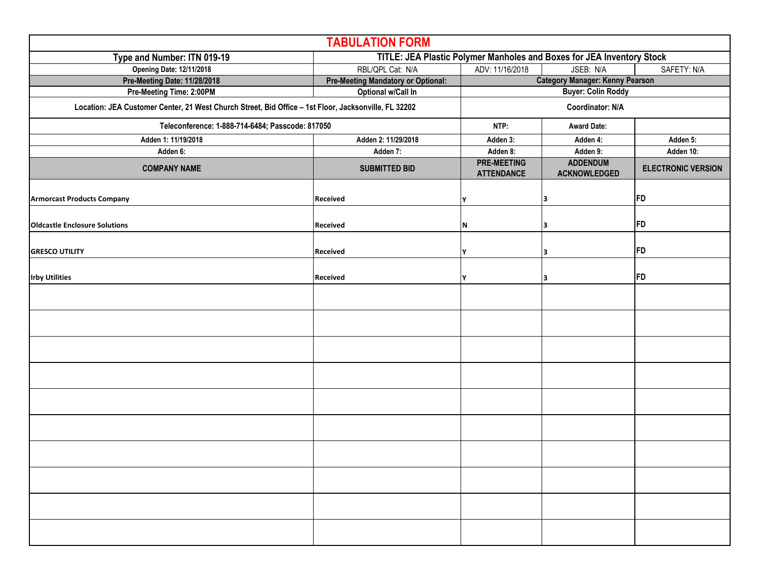| <b>TABULATION FORM</b>                                                                               |                                           |                                                                       |                                        |                           |  |  |  |
|------------------------------------------------------------------------------------------------------|-------------------------------------------|-----------------------------------------------------------------------|----------------------------------------|---------------------------|--|--|--|
| Type and Number: ITN 019-19                                                                          |                                           | TITLE: JEA Plastic Polymer Manholes and Boxes for JEA Inventory Stock |                                        |                           |  |  |  |
| <b>Opening Date: 12/11/2018</b>                                                                      | RBL/QPL Cat: N/A                          | ADV: 11/16/2018                                                       | JSEB: N/A                              | SAFETY: N/A               |  |  |  |
| Pre-Meeting Date: 11/28/2018                                                                         | <b>Pre-Meeting Mandatory or Optional:</b> |                                                                       | <b>Category Manager: Kenny Pearson</b> |                           |  |  |  |
| Pre-Meeting Time: 2:00PM                                                                             | Optional w/Call In                        |                                                                       | <b>Buyer: Colin Roddy</b>              |                           |  |  |  |
| Location: JEA Customer Center, 21 West Church Street, Bid Office - 1st Floor, Jacksonville, FL 32202 |                                           | Coordinator: N/A                                                      |                                        |                           |  |  |  |
| Teleconference: 1-888-714-6484; Passcode: 817050                                                     |                                           | NTP:                                                                  | <b>Award Date:</b>                     |                           |  |  |  |
| Adden 1: 11/19/2018                                                                                  | Adden 2: 11/29/2018                       | Adden 3:                                                              | Adden 4:                               | Adden 5:                  |  |  |  |
| Adden 6:                                                                                             | Adden 7:                                  | Adden 8:                                                              | Adden 9:                               | Adden 10:                 |  |  |  |
| <b>COMPANY NAME</b>                                                                                  | <b>SUBMITTED BID</b>                      | <b>PRE-MEETING</b><br><b>ATTENDANCE</b>                               | <b>ADDENDUM</b><br><b>ACKNOWLEDGED</b> | <b>ELECTRONIC VERSION</b> |  |  |  |
| <b>Armorcast Products Company</b>                                                                    | Received                                  | Υ                                                                     | 3                                      | FD                        |  |  |  |
| <b>Oldcastle Enclosure Solutions</b>                                                                 | Received                                  | N                                                                     |                                        | FD                        |  |  |  |
| <b>GRESCO UTILITY</b>                                                                                | Received                                  | Υ                                                                     | 3                                      | FD                        |  |  |  |
| <b>Irby Utilities</b>                                                                                | Received                                  | Υ                                                                     | 3                                      | <b>FD</b>                 |  |  |  |
|                                                                                                      |                                           |                                                                       |                                        |                           |  |  |  |
|                                                                                                      |                                           |                                                                       |                                        |                           |  |  |  |
|                                                                                                      |                                           |                                                                       |                                        |                           |  |  |  |
|                                                                                                      |                                           |                                                                       |                                        |                           |  |  |  |
|                                                                                                      |                                           |                                                                       |                                        |                           |  |  |  |
|                                                                                                      |                                           |                                                                       |                                        |                           |  |  |  |
|                                                                                                      |                                           |                                                                       |                                        |                           |  |  |  |
|                                                                                                      |                                           |                                                                       |                                        |                           |  |  |  |
|                                                                                                      |                                           |                                                                       |                                        |                           |  |  |  |
|                                                                                                      |                                           |                                                                       |                                        |                           |  |  |  |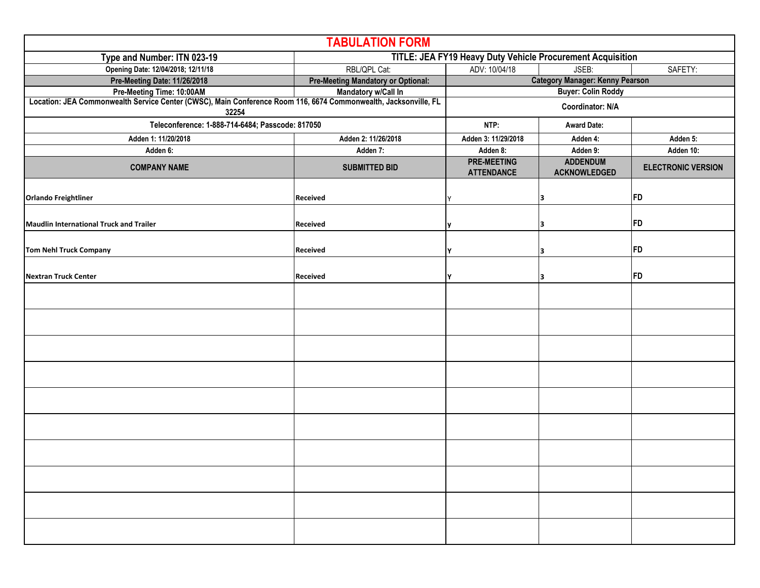| <b>TABULATION FORM</b>                                                                                                   |                                           |                                                            |                                        |                           |  |  |  |
|--------------------------------------------------------------------------------------------------------------------------|-------------------------------------------|------------------------------------------------------------|----------------------------------------|---------------------------|--|--|--|
| Type and Number: ITN 023-19                                                                                              |                                           | TITLE: JEA FY19 Heavy Duty Vehicle Procurement Acquisition |                                        |                           |  |  |  |
| Opening Date: 12/04/2018; 12/11/18                                                                                       | RBL/QPL Cat:                              | SAFETY:<br>ADV: 10/04/18<br>JSEB:                          |                                        |                           |  |  |  |
| Pre-Meeting Date: 11/26/2018                                                                                             | <b>Pre-Meeting Mandatory or Optional:</b> |                                                            | <b>Category Manager: Kenny Pearson</b> |                           |  |  |  |
| Pre-Meeting Time: 10:00AM                                                                                                | Mandatory w/Call In                       |                                                            | <b>Buyer: Colin Roddy</b>              |                           |  |  |  |
| Location: JEA Commonwealth Service Center (CWSC), Main Conference Room 116, 6674 Commonwealth, Jacksonville, FL<br>32254 |                                           | <b>Coordinator: N/A</b>                                    |                                        |                           |  |  |  |
| Teleconference: 1-888-714-6484; Passcode: 817050                                                                         |                                           | NTP:                                                       | <b>Award Date:</b>                     |                           |  |  |  |
| Adden 1: 11/20/2018                                                                                                      | Adden 2: 11/26/2018                       | Adden 3: 11/29/2018                                        | Adden 4:                               | Adden 5:                  |  |  |  |
| Adden 6:                                                                                                                 | Adden 7:                                  | Adden 8:                                                   | Adden 9:                               | Adden 10:                 |  |  |  |
| <b>COMPANY NAME</b>                                                                                                      | <b>SUBMITTED BID</b>                      | <b>PRE-MEETING</b><br><b>ATTENDANCE</b>                    | <b>ADDENDUM</b><br><b>ACKNOWLEDGED</b> | <b>ELECTRONIC VERSION</b> |  |  |  |
| <b>Orlando Freightliner</b>                                                                                              | Received                                  |                                                            | 3                                      | FD                        |  |  |  |
| Maudlin International Truck and Trailer                                                                                  | Received                                  |                                                            | 3                                      | FD                        |  |  |  |
| Tom Nehl Truck Company                                                                                                   | Received                                  |                                                            | з                                      | FD                        |  |  |  |
| Nextran Truck Center                                                                                                     | Received                                  | Y                                                          | 3                                      | <b>FD</b>                 |  |  |  |
|                                                                                                                          |                                           |                                                            |                                        |                           |  |  |  |
|                                                                                                                          |                                           |                                                            |                                        |                           |  |  |  |
|                                                                                                                          |                                           |                                                            |                                        |                           |  |  |  |
|                                                                                                                          |                                           |                                                            |                                        |                           |  |  |  |
|                                                                                                                          |                                           |                                                            |                                        |                           |  |  |  |
|                                                                                                                          |                                           |                                                            |                                        |                           |  |  |  |
|                                                                                                                          |                                           |                                                            |                                        |                           |  |  |  |
|                                                                                                                          |                                           |                                                            |                                        |                           |  |  |  |
|                                                                                                                          |                                           |                                                            |                                        |                           |  |  |  |
|                                                                                                                          |                                           |                                                            |                                        |                           |  |  |  |